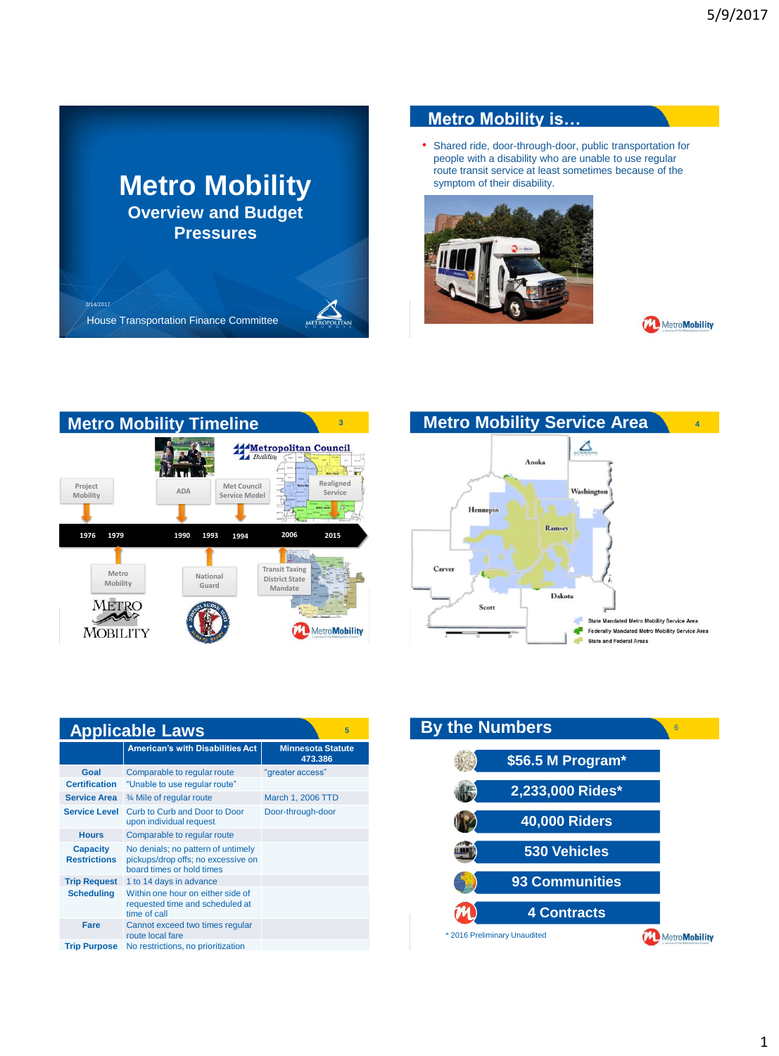

## **Metro Mobility is…**

• Shared ride, door-through-door, public transportation for people with a disability who are unable to use regular route transit service at least sometimes because of the symptom of their disability.









| <b>Applicable Laws</b><br>5            |                                                                                                       |                                     |
|----------------------------------------|-------------------------------------------------------------------------------------------------------|-------------------------------------|
|                                        | <b>American's with Disabilities Act</b>                                                               | <b>Minnesota Statute</b><br>473.386 |
| Goal<br><b>Certification</b>           | Comparable to regular route<br>"Unable to use regular route"                                          | "greater access"                    |
| <b>Service Area</b>                    | 3⁄4 Mile of regular route                                                                             | March 1, 2006 TTD                   |
| <b>Service Level</b>                   | Curb to Curb and Door to Door<br>upon individual request                                              | Door-through-door                   |
| <b>Hours</b>                           | Comparable to regular route                                                                           |                                     |
| <b>Capacity</b><br><b>Restrictions</b> | No denials; no pattern of untimely<br>pickups/drop offs; no excessive on<br>board times or hold times |                                     |
| <b>Trip Request</b>                    | 1 to 14 days in advance                                                                               |                                     |
| <b>Scheduling</b>                      | Within one hour on either side of<br>requested time and scheduled at<br>time of call                  |                                     |
| Fare                                   | Cannot exceed two times regular<br>route local fare                                                   |                                     |
| <b>Trip Purpose</b>                    | No restrictions, no prioritization                                                                    |                                     |

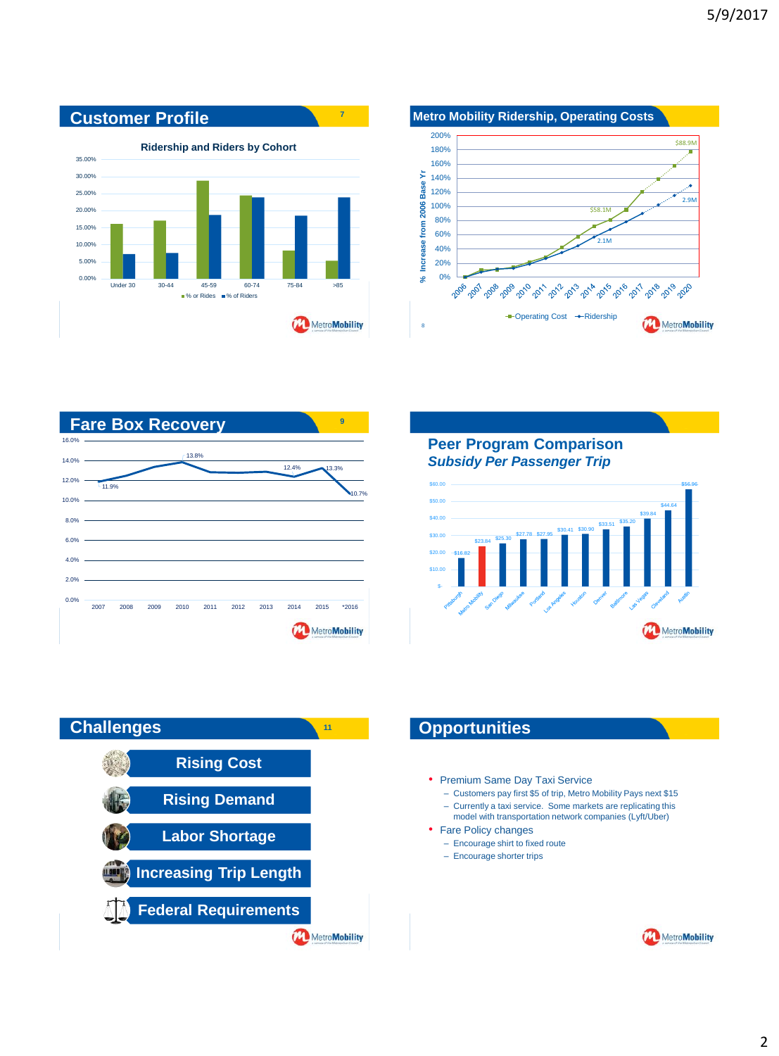





**Peer Program Comparison** *Subsidy Per Passenger Trip*





- Premium Same Day Taxi Service
	- Customers pay first \$5 of trip, Metro Mobility Pays next \$15
	- Currently a taxi service. Some markets are replicating this model with transportation network companies (Lyft/Uber)
- Fare Policy changes
	- Encourage shirt to fixed route
	- Encourage shorter trips
	-